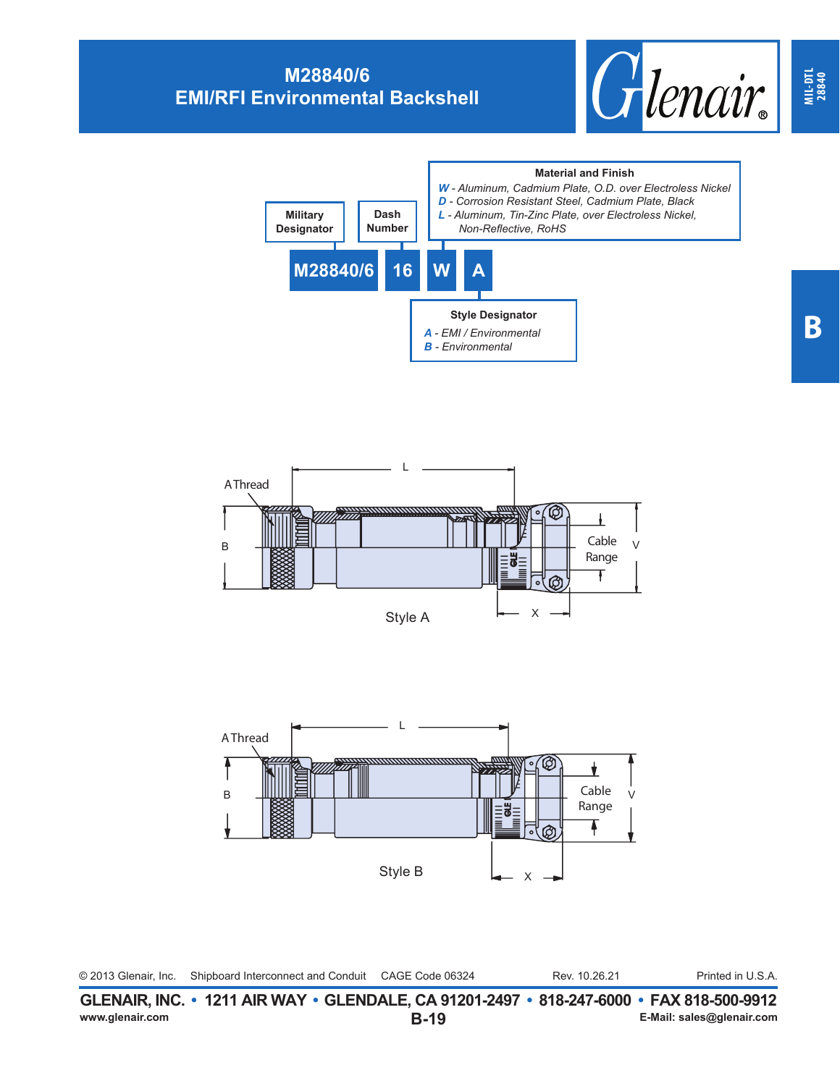## **M28840/6 EMI/RFI Environmental Backshell**









| © 2013 Glenair, Inc. | Shipboard Interconnect and Conduit CAGE Code 06324 |  | Rev. 10.26.21 | Printed in U.S.A. |
|----------------------|----------------------------------------------------|--|---------------|-------------------|
|----------------------|----------------------------------------------------|--|---------------|-------------------|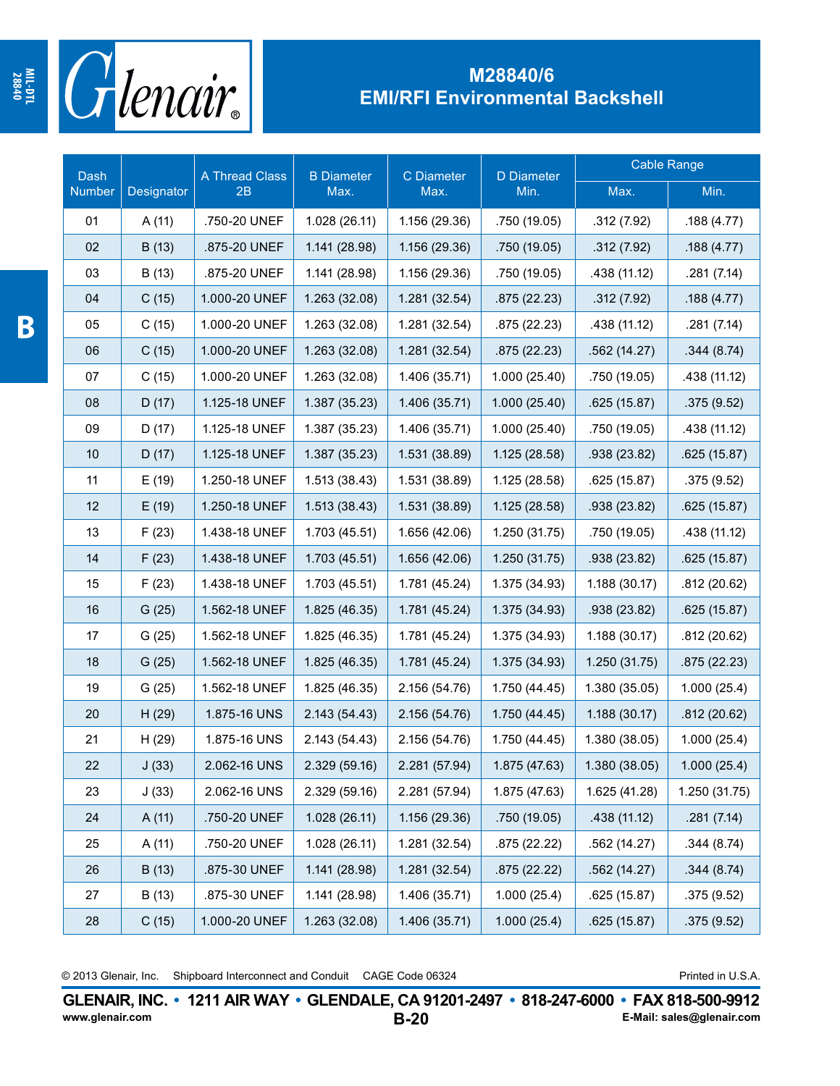

## **M28840/6 EMI/RFI Environmental Backshell**

| Dash   |            | A Thread Class<br>2B | <b>B</b> Diameter<br>Max. | C Diameter<br>Max. | <b>D</b> Diameter<br>Min. | Cable Range   |               |
|--------|------------|----------------------|---------------------------|--------------------|---------------------------|---------------|---------------|
| Number | Designator |                      |                           |                    |                           | Max.          | Min.          |
| 01     | A(11)      | .750-20 UNEF         | 1.028 (26.11)             | 1.156 (29.36)      | .750 (19.05)              | .312(7.92)    | .188(4.77)    |
| 02     | B (13)     | .875-20 UNEF         | 1.141 (28.98)             | 1.156 (29.36)      | .750 (19.05)              | .312(7.92)    | .188(4.77)    |
| 03     | B (13)     | .875-20 UNEF         | 1.141 (28.98)             | 1.156 (29.36)      | .750 (19.05)              | .438 (11.12)  | .281 (7.14)   |
| 04     | C(15)      | 1.000-20 UNEF        | 1.263 (32.08)             | 1.281 (32.54)      | .875(22.23)               | .312(7.92)    | .188(4.77)    |
| 05     | C(15)      | 1.000-20 UNEF        | 1.263 (32.08)             | 1.281 (32.54)      | .875 (22.23)              | .438 (11.12)  | .281 (7.14)   |
| 06     | C(15)      | 1.000-20 UNEF        | 1.263 (32.08)             | 1.281 (32.54)      | .875(22.23)               | .562(14.27)   | .344(8.74)    |
| 07     | C(15)      | 1.000-20 UNEF        | 1.263 (32.08)             | 1.406 (35.71)      | 1.000 (25.40)             | .750 (19.05)  | .438 (11.12)  |
| 08     | D(17)      | 1.125-18 UNEF        | 1.387 (35.23)             | 1.406 (35.71)      | 1.000(25.40)              | .625(15.87)   | .375(9.52)    |
| 09     | D(17)      | 1.125-18 UNEF        | 1.387 (35.23)             | 1.406 (35.71)      | 1.000(25.40)              | .750 (19.05)  | .438 (11.12)  |
| 10     | D(17)      | 1.125-18 UNEF        | 1.387 (35.23)             | 1.531 (38.89)      | 1.125 (28.58)             | .938 (23.82)  | .625(15.87)   |
| 11     | E(19)      | 1.250-18 UNEF        | 1.513(38.43)              | 1.531 (38.89)      | 1.125 (28.58)             | .625(15.87)   | .375(9.52)    |
| 12     | E(19)      | 1.250-18 UNEF        | 1.513(38.43)              | 1.531 (38.89)      | 1.125 (28.58)             | .938 (23.82)  | .625(15.87)   |
| 13     | F(23)      | 1.438-18 UNEF        | 1.703 (45.51)             | 1.656 (42.06)      | 1.250 (31.75)             | .750 (19.05)  | .438 (11.12)  |
| 14     | F(23)      | 1.438-18 UNEF        | 1.703 (45.51)             | 1.656 (42.06)      | 1.250(31.75)              | .938 (23.82)  | .625(15.87)   |
| 15     | F(23)      | 1.438-18 UNEF        | 1.703 (45.51)             | 1.781 (45.24)      | 1.375 (34.93)             | 1.188 (30.17) | .812 (20.62)  |
| 16     | G(25)      | 1.562-18 UNEF        | 1.825 (46.35)             | 1.781 (45.24)      | 1.375 (34.93)             | .938 (23.82)  | .625(15.87)   |
| 17     | G(25)      | 1.562-18 UNEF        | 1.825 (46.35)             | 1.781 (45.24)      | 1.375 (34.93)             | 1.188 (30.17) | .812(20.62)   |
| 18     | G(25)      | 1.562-18 UNEF        | 1.825 (46.35)             | 1.781 (45.24)      | 1.375 (34.93)             | 1.250 (31.75) | .875(22.23)   |
| 19     | G(25)      | 1.562-18 UNEF        | 1.825 (46.35)             | 2.156 (54.76)      | 1.750 (44.45)             | 1.380 (35.05) | 1.000(25.4)   |
| 20     | H(29)      | 1.875-16 UNS         | 2.143 (54.43)             | 2.156 (54.76)      | 1.750 (44.45)             | 1.188(30.17)  | .812(20.62)   |
| 21     | H (29)     | 1.875-16 UNS         | 2.143 (54.43)             | 2.156 (54.76)      | 1.750 (44.45)             | 1.380 (38.05) | 1.000(25.4)   |
| 22     | J(33)      | 2.062-16 UNS         | 2.329 (59.16)             | 2.281 (57.94)      | 1.875 (47.63)             | 1.380 (38.05) | 1.000(25.4)   |
| 23     | J(33)      | 2.062-16 UNS         | 2.329 (59.16)             | 2.281 (57.94)      | 1.875 (47.63)             | 1.625 (41.28) | 1.250 (31.75) |
| 24     | A(11)      | .750-20 UNEF         | 1.028 (26.11)             | 1.156 (29.36)      | .750 (19.05)              | .438 (11.12)  | .281(7.14)    |
| 25     | A (11)     | .750-20 UNEF         | 1.028 (26.11)             | 1.281 (32.54)      | .875 (22.22)              | .562(14.27)   | .344(8.74)    |
| 26     | B(13)      | .875-30 UNEF         | 1.141 (28.98)             | 1.281 (32.54)      | .875(22.22)               | .562(14.27)   | .344(8.74)    |
| 27     | B (13)     | .875-30 UNEF         | 1.141 (28.98)             | 1.406 (35.71)      | 1.000(25.4)               | .625(15.87)   | .375 (9.52)   |
| 28     | C(15)      | 1.000-20 UNEF        | 1.263 (32.08)             | 1.406 (35.71)      | 1.000(25.4)               | .625(15.87)   | .375(9.52)    |

© 2013 Glenair, Inc. Shipboard Interconnect and Conduit CAGE Code 06324 **Printed in U.S.A.** 

**B-20 GLENAIR, INC. • 1211 AIR WAY • GLENDALE, CA 91201-2497 • 818-247-6000 • FAX 818-500-9912**<br>E-Mail: sales@glenair.com **www.glenair.com E-Mail: sales@glenair.com**

**MIL-DTL**